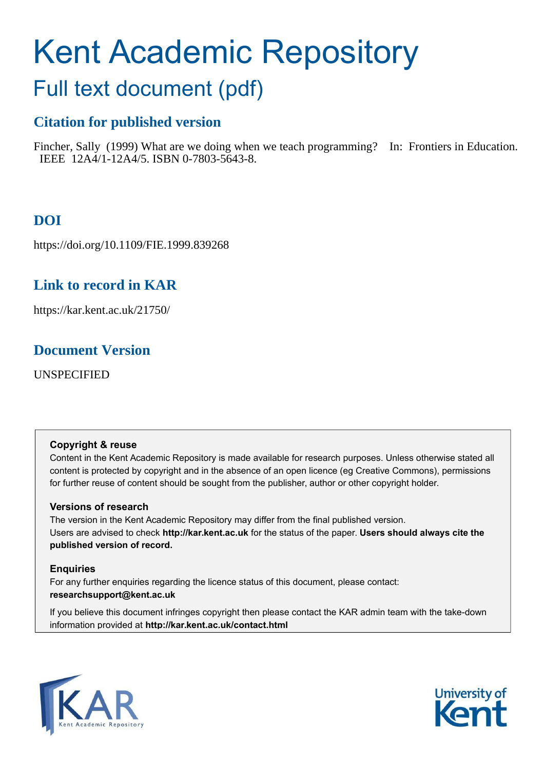# Kent Academic Repository

## Full text document (pdf)

## **Citation for published version**

Fincher, Sally (1999) What are we doing when we teach programming? In: Frontiers in Education. IEEE 12A4/1-12A4/5. ISBN 0-7803-5643-8.

## **DOI**

https://doi.org/10.1109/FIE.1999.839268

## **Link to record in KAR**

https://kar.kent.ac.uk/21750/

## **Document Version**

UNSPECIFIED

#### **Copyright & reuse**

Content in the Kent Academic Repository is made available for research purposes. Unless otherwise stated all content is protected by copyright and in the absence of an open licence (eg Creative Commons), permissions for further reuse of content should be sought from the publisher, author or other copyright holder.

#### **Versions of research**

The version in the Kent Academic Repository may differ from the final published version. Users are advised to check **http://kar.kent.ac.uk** for the status of the paper. **Users should always cite the published version of record.**

#### **Enquiries**

For any further enquiries regarding the licence status of this document, please contact: **researchsupport@kent.ac.uk**

If you believe this document infringes copyright then please contact the KAR admin team with the take-down information provided at **http://kar.kent.ac.uk/contact.html**



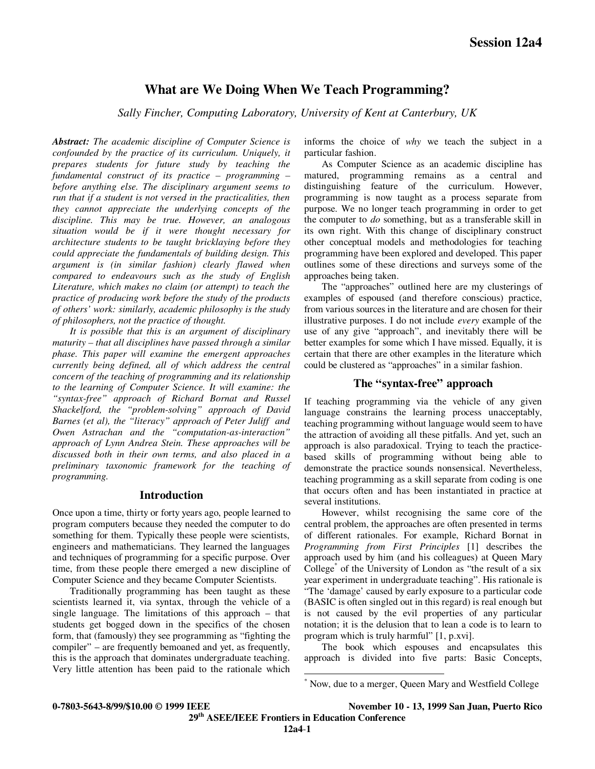#### **What are We Doing When We Teach Programming?**

*Sally Fincher, Computing Laboratory, University of Kent at Canterbury, UK*

*Abstract: The academic discipline of Computer Science is confounded by the practice of its curriculum. Uniquely, it prepares students for future study by teaching the fundamental construct of its practice – programming – before anything else. The disciplinary argument seems to run that if a student is not versed in the practicalities, then they cannot appreciate the underlying concepts of the discipline. This may be true. However, an analogous situation would be if it were thought necessary for architecture students to be taught bricklaying before they could appreciate the fundamentals of building design. This argument is (in similar fashion) clearly flawed when compared to endeavours such as the study of English Literature, which makes no claim (or attempt) to teach the practice of producing work before the study of the products of others' work: similarly, academic philosophy is the study of philosophers, not the practice of thought.*

*It is possible that this is an argument of disciplinary maturity – that all disciplines have passed through a similar phase. This paper will examine the emergent approaches currently being defined, all of which address the central concern of the teaching of programming and its relationship to the learning of Computer Science. It will examine: the "syntax-free" approach of Richard Bornat and Russel Shackelford, the "problem-solving" approach of David Barnes (et al), the "literacy" approach of Peter Juliff and Owen Astrachan and the "computation-as-interaction" approach of Lynn Andrea Stein. These approaches will be discussed both in their own terms, and also placed in a preliminary taxonomic framework for the teaching of programming.*

#### **Introduction**

Once upon a time, thirty or forty years ago, people learned to program computers because they needed the computer to do something for them. Typically these people were scientists, engineers and mathematicians. They learned the languages and techniques of programming for a specific purpose. Over time, from these people there emerged a new discipline of Computer Science and they became Computer Scientists.

Traditionally programming has been taught as these scientists learned it, via syntax, through the vehicle of a single language. The limitations of this approach – that students get bogged down in the specifics of the chosen form, that (famously) they see programming as "fighting the compiler" – are frequently bemoaned and yet, as frequently, this is the approach that dominates undergraduate teaching. Very little attention has been paid to the rationale which informs the choice of *why* we teach the subject in a particular fashion.

As Computer Science as an academic discipline has matured, programming remains as a central and distinguishing feature of the curriculum. However, programming is now taught as a process separate from purpose. We no longer teach programming in order to get the computer to *do* something, but as a transferable skill in its own right. With this change of disciplinary construct other conceptual models and methodologies for teaching programming have been explored and developed. This paper outlines some of these directions and surveys some of the approaches being taken.

The "approaches" outlined here are my clusterings of examples of espoused (and therefore conscious) practice, from various sources in the literature and are chosen for their illustrative purposes. I do not include *every* example of the use of any give "approach", and inevitably there will be better examples for some which I have missed. Equally, it is certain that there are other examples in the literature which could be clustered as "approaches" in a similar fashion.

#### **The "syntax-free" approach**

If teaching programming via the vehicle of any given language constrains the learning process unacceptably, teaching programming without language would seem to have the attraction of avoiding all these pitfalls. And yet, such an approach is also paradoxical. Trying to teach the practicebased skills of programming without being able to demonstrate the practice sounds nonsensical. Nevertheless, teaching programming as a skill separate from coding is one that occurs often and has been instantiated in practice at several institutions.

However, whilst recognising the same core of the central problem, the approaches are often presented in terms of different rationales. For example, Richard Bornat in *Programming from First Principles* [1] describes the approach used by him (and his colleagues) at Queen Mary College<sup>\*</sup> of the University of London as "the result of a six year experiment in undergraduate teaching". His rationale is "The 'damage' caused by early exposure to a particular code (BASIC is often singled out in this regard) is real enough but is not caused by the evil properties of any particular notation; it is the delusion that to lean a code is to learn to program which is truly harmful" [1, p.xvi].

The book which espouses and encapsulates this approach is divided into five parts: Basic Concepts,

**0-7803-5643-8/99/\$10.00 © 1999 IEEE November 10 - 13, 1999 San Juan, Puerto Rico 29th ASEE/IEEE Frontiers in Education Conference**

 $\overline{a}$ 

<sup>\*</sup> Now, due to a merger, Queen Mary and Westfield College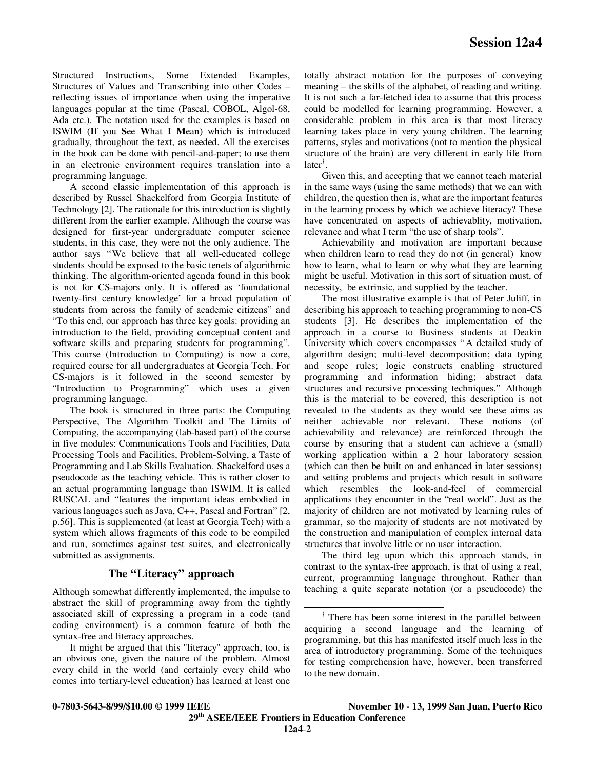Structured Instructions, Some Extended Examples, Structures of Values and Transcribing into other Codes – reflecting issues of importance when using the imperative languages popular at the time (Pascal, COBOL, Algol-68, Ada etc.). The notation used for the examples is based on ISWIM (**I**f you **S**ee **W**hat **I M**ean) which is introduced gradually, throughout the text, as needed. All the exercises in the book can be done with pencil-and-paper; to use them in an electronic environment requires translation into a programming language.

A second classic implementation of this approach is described by Russel Shackelford from Georgia Institute of Technology [2]. The rationale for this introduction is slightly different from the earlier example. Although the course was designed for first-year undergraduate computer science students, in this case, they were not the only audience. The author says "We believe that all well-educated college students should be exposed to the basic tenets of algorithmic thinking. The algorithm-oriented agenda found in this book is not for CS-majors only. It is offered as 'foundational twenty-first century knowledge' for a broad population of students from across the family of academic citizens" and "To this end, our approach has three key goals: providing an introduction to the field, providing conceptual content and software skills and preparing students for programming". This course (Introduction to Computing) is now a core, required course for all undergraduates at Georgia Tech. For CS-majors is it followed in the second semester by "Introduction to Programming" which uses a given programming language.

The book is structured in three parts: the Computing Perspective, The Algorithm Toolkit and The Limits of Computing, the accompanying (lab-based part) of the course in five modules: Communications Tools and Facilities, Data Processing Tools and Facilities, Problem-Solving, a Taste of Programming and Lab Skills Evaluation. Shackelford uses a pseudocode as the teaching vehicle. This is rather closer to an actual programming language than ISWIM. It is called RUSCAL and "features the important ideas embodied in various languages such as Java, C++, Pascal and Fortran" [2, p.56]. This is supplemented (at least at Georgia Tech) with a system which allows fragments of this code to be compiled and run, sometimes against test suites, and electronically submitted as assignments.

#### **The "Literacy" approach**

Although somewhat differently implemented, the impulse to abstract the skill of programming away from the tightly associated skill of expressing a program in a code (and coding environment) is a common feature of both the syntax-free and literacy approaches.

It might be argued that this "literacy" approach, too, is an obvious one, given the nature of the problem. Almost every child in the world (and certainly every child who comes into tertiary-level education) has learned at least one

totally abstract notation for the purposes of conveying meaning – the skills of the alphabet, of reading and writing. It is not such a far-fetched idea to assume that this process could be modelled for learning programming. However, a considerable problem in this area is that most literacy learning takes place in very young children. The learning patterns, styles and motivations (not to mention the physical structure of the brain) are very different in early life from later† .

Given this, and accepting that we cannot teach material in the same ways (using the same methods) that we can with children, the question then is, what are the important features in the learning process by which we achieve literacy? These have concentrated on aspects of achievablity, motivation, relevance and what I term "the use of sharp tools".

Achievability and motivation are important because when children learn to read they do not (in general) know how to learn, what to learn or why what they are learning might be useful. Motivation in this sort of situation must, of necessity, be extrinsic, and supplied by the teacher.

The most illustrative example is that of Peter Juliff, in describing his approach to teaching programming to non-CS students [3]. He describes the implementation of the approach in a course to Business students at Deakin University which covers encompasses "A detailed study of algorithm design; multi-level decomposition; data typing and scope rules; logic constructs enabling structured programming and information hiding; abstract data structures and recursive processing techniques." Although this is the material to be covered, this description is not revealed to the students as they would see these aims as neither achievable nor relevant. These notions (of achievability and relevance) are reinforced through the course by ensuring that a student can achieve a (small) working application within a 2 hour laboratory session (which can then be built on and enhanced in later sessions) and setting problems and projects which result in software which resembles the look-and-feel of commercial applications they encounter in the "real world". Just as the majority of children are not motivated by learning rules of grammar, so the majority of students are not motivated by the construction and manipulation of complex internal data structures that involve little or no user interaction.

The third leg upon which this approach stands, in contrast to the syntax-free approach, is that of using a real, current, programming language throughout. Rather than teaching a quite separate notation (or a pseudocode) the

**0-7803-5643-8/99/\$10.00 © 1999 IEEE November 10 - 13, 1999 San Juan, Puerto Rico 29th ASEE/IEEE Frontiers in Education Conference**

 $\overline{a}$ 

<sup>†</sup> There has been some interest in the parallel between acquiring a second language and the learning of programming, but this has manifested itself much less in the area of introductory programming. Some of the techniques for testing comprehension have, however, been transferred to the new domain.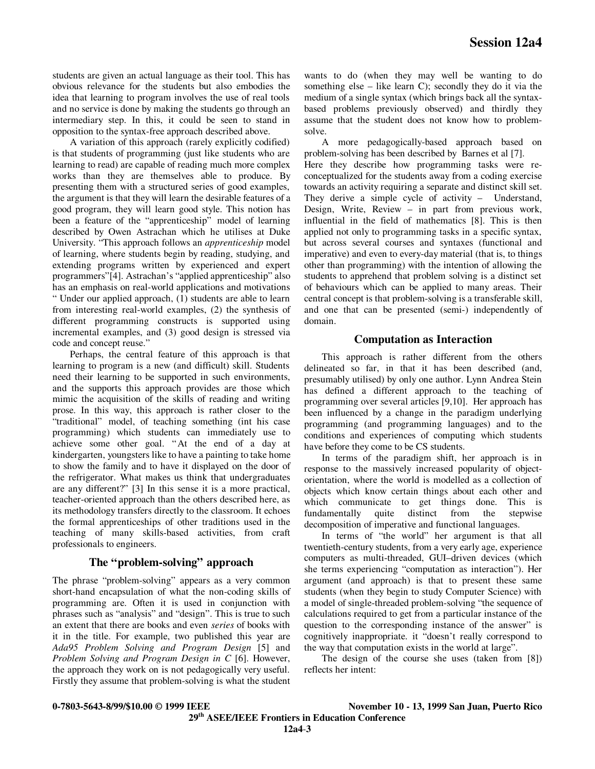students are given an actual language as their tool. This has obvious relevance for the students but also embodies the idea that learning to program involves the use of real tools and no service is done by making the students go through an intermediary step. In this, it could be seen to stand in opposition to the syntax-free approach described above.

A variation of this approach (rarely explicitly codified) is that students of programming (just like students who are learning to read) are capable of reading much more complex works than they are themselves able to produce. By presenting them with a structured series of good examples, the argument is that they will learn the desirable features of a good program, they will learn good style. This notion has been a feature of the "apprenticeship" model of learning described by Owen Astrachan which he utilises at Duke University. "This approach follows an *apprenticeship* model of learning, where students begin by reading, studying, and extending programs written by experienced and expert programmers"[4]. Astrachan's "applied apprenticeship" also has an emphasis on real-world applications and motivations " Under our applied approach, (1) students are able to learn from interesting real-world examples, (2) the synthesis of different programming constructs is supported using incremental examples, and (3) good design is stressed via code and concept reuse."

Perhaps, the central feature of this approach is that learning to program is a new (and difficult) skill. Students need their learning to be supported in such environments, and the supports this approach provides are those which mimic the acquisition of the skills of reading and writing prose. In this way, this approach is rather closer to the "traditional" model, of teaching something (int his case programming) which students can immediately use to achieve some other goal. "At the end of a day at kindergarten, youngsters like to have a painting to take home to show the family and to have it displayed on the door of the refrigerator. What makes us think that undergraduates are any different?" [3] In this sense it is a more practical, teacher-oriented approach than the others described here, as its methodology transfers directly to the classroom. It echoes the formal apprenticeships of other traditions used in the teaching of many skills-based activities, from craft professionals to engineers.

#### **The "problem-solving" approach**

The phrase "problem-solving" appears as a very common short-hand encapsulation of what the non-coding skills of programming are. Often it is used in conjunction with phrases such as "analysis" and "design". This is true to such an extent that there are books and even *series* of books with it in the title. For example, two published this year are *Ada95 Problem Solving and Program Design* [5] and *Problem Solving and Program Design in C* [6]. However, the approach they work on is not pedagogically very useful. Firstly they assume that problem-solving is what the student wants to do (when they may well be wanting to do something else – like learn C); secondly they do it via the medium of a single syntax (which brings back all the syntaxbased problems previously observed) and thirdly they assume that the student does not know how to problemsolve.

A more pedagogically-based approach based on problem-solving has been described by Barnes et al [7]. Here they describe how programming tasks were reconceptualized for the students away from a coding exercise towards an activity requiring a separate and distinct skill set. They derive a simple cycle of activity – Understand, Design, Write, Review – in part from previous work, influential in the field of mathematics [8]. This is then applied not only to programming tasks in a specific syntax, but across several courses and syntaxes (functional and imperative) and even to every-day material (that is, to things other than programming) with the intention of allowing the students to apprehend that problem solving is a distinct set of behaviours which can be applied to many areas. Their central concept is that problem-solving is a transferable skill, and one that can be presented (semi-) independently of domain.

#### **Computation as Interaction**

This approach is rather different from the others delineated so far, in that it has been described (and, presumably utilised) by only one author. Lynn Andrea Stein has defined a different approach to the teaching of programming over several articles [9,10]. Her approach has been influenced by a change in the paradigm underlying programming (and programming languages) and to the conditions and experiences of computing which students have before they come to be CS students.

In terms of the paradigm shift, her approach is in response to the massively increased popularity of objectorientation, where the world is modelled as a collection of objects which know certain things about each other and which communicate to get things done. This is fundamentally quite distinct from the stepwise fundamentally quite distinct from the decomposition of imperative and functional languages.

In terms of "the world" her argument is that all twentieth-century students, from a very early age, experience computers as multi-threaded, GUI–driven devices (which she terms experiencing "computation as interaction"). Her argument (and approach) is that to present these same students (when they begin to study Computer Science) with a model of single-threaded problem-solving "the sequence of calculations required to get from a particular instance of the question to the corresponding instance of the answer" is cognitively inappropriate. it "doesn't really correspond to the way that computation exists in the world at large".

The design of the course she uses (taken from [8]) reflects her intent:

**0-7803-5643-8/99/\$10.00 © 1999 IEEE November 10 - 13, 1999 San Juan, Puerto Rico 29th ASEE/IEEE Frontiers in Education Conference**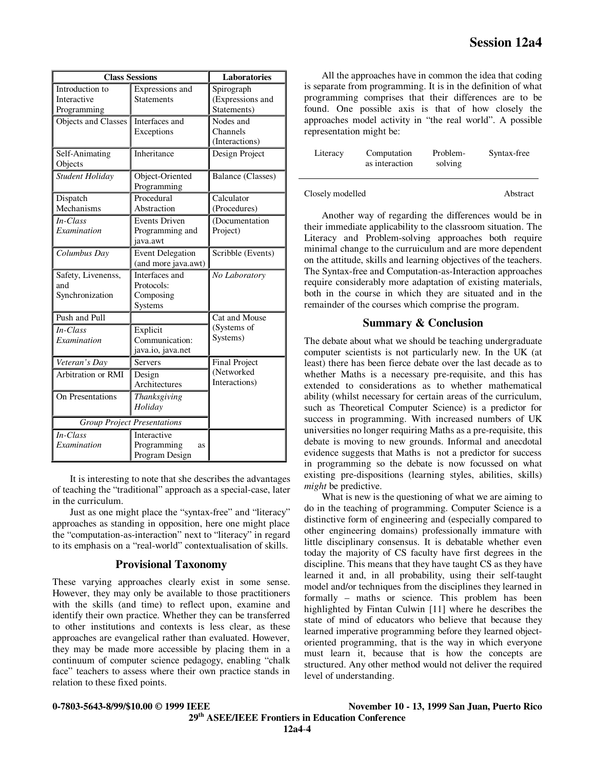| <b>Class Sessions</b>                         |                                                      | <b>Laboratories</b>                           |  |
|-----------------------------------------------|------------------------------------------------------|-----------------------------------------------|--|
| Introduction to<br>Interactive<br>Programming | Expressions and<br><b>Statements</b>                 | Spirograph<br>(Expressions and<br>Statements) |  |
| Objects and Classes                           | Interfaces and<br>Exceptions                         | Nodes and<br>Channels<br>(Interactions)       |  |
| Self-Animating<br>Objects                     | Inheritance                                          | Design Project                                |  |
| Student Holiday                               | Object-Oriented<br>Programming                       | Balance (Classes)                             |  |
| Dispatch<br>Mechanisms                        | Procedural<br>Abstraction                            | Calculator<br>(Procedures)                    |  |
| In-Class<br>Examination                       | <b>Events Driven</b><br>Programming and<br>iava.awt  | (Documentation<br>Project)                    |  |
| Columbus Day                                  | <b>Event Delegation</b><br>(and more java.awt)       | Scribble (Events)                             |  |
| Safety, Livenenss,<br>and<br>Synchronization  | Interfaces and<br>Protocols:<br>Composing<br>Systems | No Laboratory                                 |  |
| Push and Pull                                 |                                                      | Cat and Mouse                                 |  |
| In-Class<br>Examination                       | Explicit<br>Communication:<br>java.io, java.net      | (Systems of<br>Systems)                       |  |
| Veteran's Day                                 | <b>Servers</b>                                       | <b>Final Project</b>                          |  |
| Arbitration or RMI                            | Design<br>Architectures                              | (Networked<br>Interactions)                   |  |
| On Presentations                              | Thanksgiving<br>Holiday                              |                                               |  |
| <b>Group Project Presentations</b>            |                                                      |                                               |  |
| In-Class<br>Examination                       | Interactive<br>Programming<br>as<br>Program Design   |                                               |  |

It is interesting to note that she describes the advantages of teaching the "traditional" approach as a special-case, later in the curriculum.

Just as one might place the "syntax-free" and "literacy" approaches as standing in opposition, here one might place the "computation-as-interaction" next to "literacy" in regard to its emphasis on a "real-world" contextualisation of skills.

#### **Provisional Taxonomy**

These varying approaches clearly exist in some sense. However, they may only be available to those practitioners with the skills (and time) to reflect upon, examine and identify their own practice. Whether they can be transferred to other institutions and contexts is less clear, as these approaches are evangelical rather than evaluated. However, they may be made more accessible by placing them in a continuum of computer science pedagogy, enabling "chalk face" teachers to assess where their own practice stands in relation to these fixed points.

All the approaches have in common the idea that coding is separate from programming. It is in the definition of what programming comprises that their differences are to be found. One possible axis is that of how closely the approaches model activity in "the real world". A possible representation might be:

| Literacy | Computation<br>as interaction | Problem-<br>solving | Syntax-free |
|----------|-------------------------------|---------------------|-------------|
|          |                               |                     |             |

Closely modelled Abstract

Another way of regarding the differences would be in their immediate applicability to the classroom situation. The Literacy and Problem-solving approaches both require minimal change to the curruiculum and are more dependent on the attitude, skills and learning objectives of the teachers. The Syntax-free and Computation-as-Interaction approaches require considerably more adaptation of existing materials, both in the course in which they are situated and in the remainder of the courses which comprise the program.

#### **Summary & Conclusion**

The debate about what we should be teaching undergraduate computer scientists is not particularly new. In the UK (at least) there has been fierce debate over the last decade as to whether Maths is a necessary pre-requisite, and this has extended to considerations as to whether mathematical ability (whilst necessary for certain areas of the curriculum, such as Theoretical Computer Science) is a predictor for success in programming. With increased numbers of UK universities no longer requiring Maths as a pre-requisite, this debate is moving to new grounds. Informal and anecdotal evidence suggests that Maths is not a predictor for success in programming so the debate is now focussed on what existing pre-dispositions (learning styles, abilities, skills) *might* be predictive.

What is new is the questioning of what we are aiming to do in the teaching of programming. Computer Science is a distinctive form of engineering and (especially compared to other engineering domains) professionally immature with little disciplinary consensus. It is debatable whether even today the majority of CS faculty have first degrees in the discipline. This means that they have taught CS as they have learned it and, in all probability, using their self-taught model and/or techniques from the disciplines they learned in formally – maths or science. This problem has been highlighted by Fintan Culwin [11] where he describes the state of mind of educators who believe that because they learned imperative programming before they learned objectoriented programming, that is the way in which everyone must learn it, because that is how the concepts are structured. Any other method would not deliver the required level of understanding.

**0-7803-5643-8/99/\$10.00 © 1999 IEEE November 10 - 13, 1999 San Juan, Puerto Rico 29th ASEE/IEEE Frontiers in Education Conference**